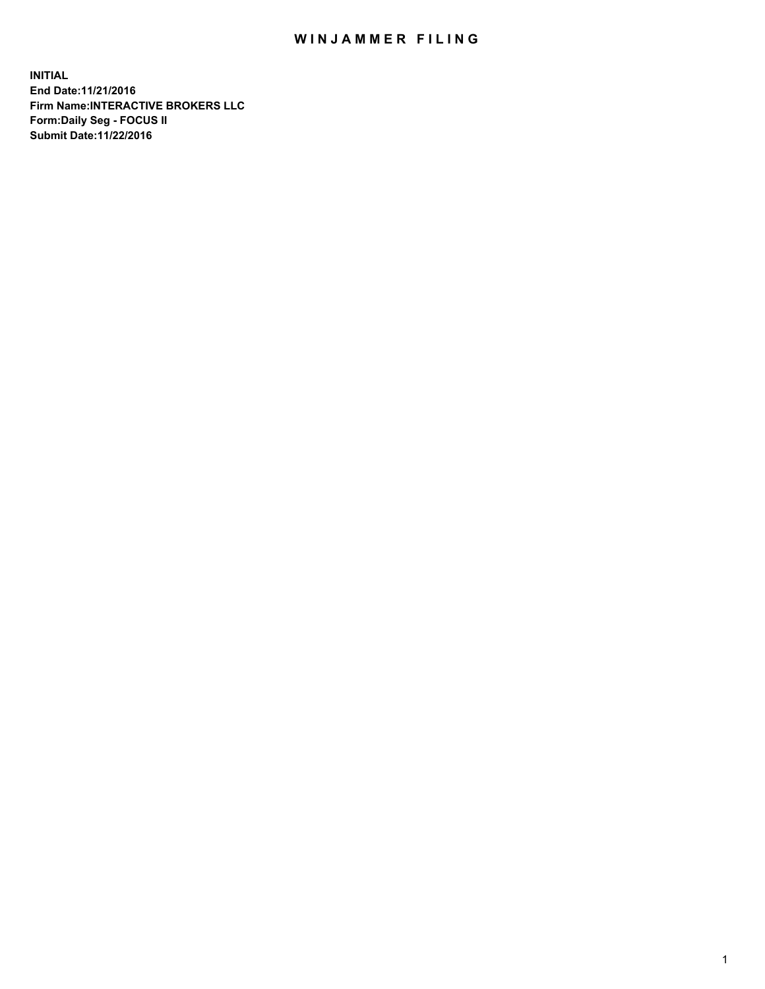## WIN JAMMER FILING

**INITIAL End Date:11/21/2016 Firm Name:INTERACTIVE BROKERS LLC Form:Daily Seg - FOCUS II Submit Date:11/22/2016**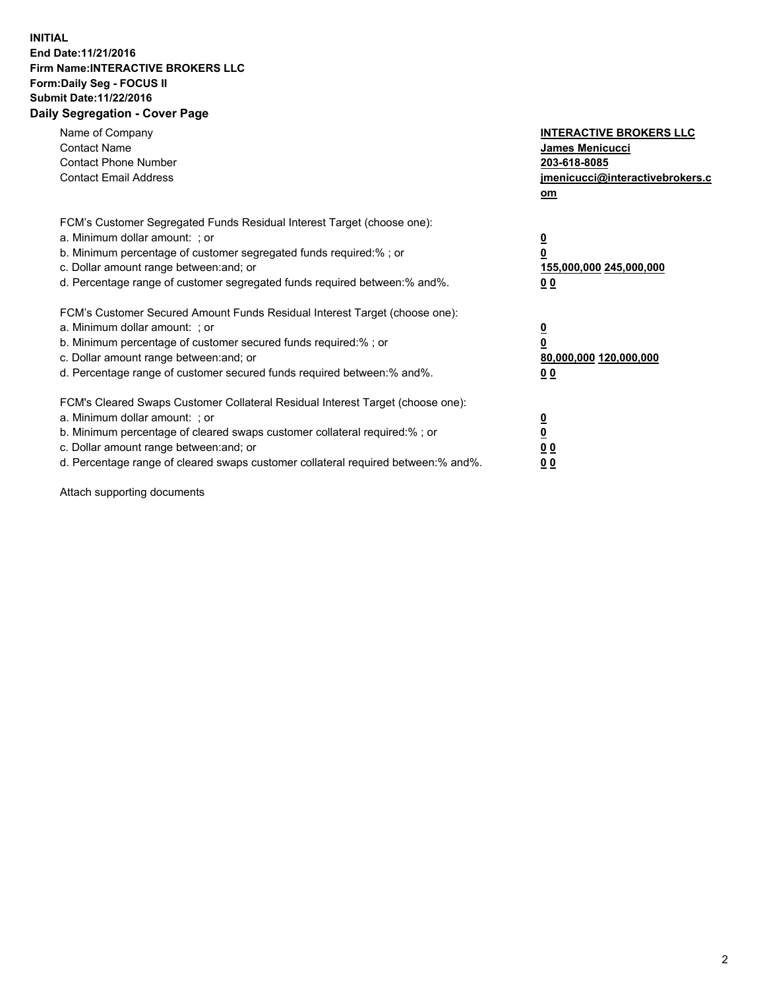## **INITIAL End Date:11/21/2016 Firm Name:INTERACTIVE BROKERS LLC Form:Daily Seg - FOCUS II Submit Date:11/22/2016 Daily Segregation - Cover Page**

| Name of Company<br><b>Contact Name</b><br><b>Contact Phone Number</b><br><b>Contact Email Address</b>                                                                                                                                                                                                                          | <b>INTERACTIVE BROKERS LLC</b><br>James Menicucci<br>203-618-8085<br>jmenicucci@interactivebrokers.c<br>om |
|--------------------------------------------------------------------------------------------------------------------------------------------------------------------------------------------------------------------------------------------------------------------------------------------------------------------------------|------------------------------------------------------------------------------------------------------------|
| FCM's Customer Segregated Funds Residual Interest Target (choose one):<br>a. Minimum dollar amount: ; or<br>b. Minimum percentage of customer segregated funds required:%; or<br>c. Dollar amount range between: and; or<br>d. Percentage range of customer segregated funds required between:% and%.                          | $\overline{\mathbf{0}}$<br>0<br>155,000,000 245,000,000<br>0 <sub>0</sub>                                  |
| FCM's Customer Secured Amount Funds Residual Interest Target (choose one):<br>a. Minimum dollar amount: ; or<br>b. Minimum percentage of customer secured funds required:%; or<br>c. Dollar amount range between: and; or<br>d. Percentage range of customer secured funds required between:% and%.                            | $\overline{\mathbf{0}}$<br>$\overline{\mathbf{0}}$<br>80,000,000 120,000,000<br>00                         |
| FCM's Cleared Swaps Customer Collateral Residual Interest Target (choose one):<br>a. Minimum dollar amount: ; or<br>b. Minimum percentage of cleared swaps customer collateral required:% ; or<br>c. Dollar amount range between: and; or<br>d. Percentage range of cleared swaps customer collateral required between:% and%. | $\overline{\mathbf{0}}$<br>$\overline{\mathbf{0}}$<br>0 <sub>0</sub><br><u>00</u>                          |

Attach supporting documents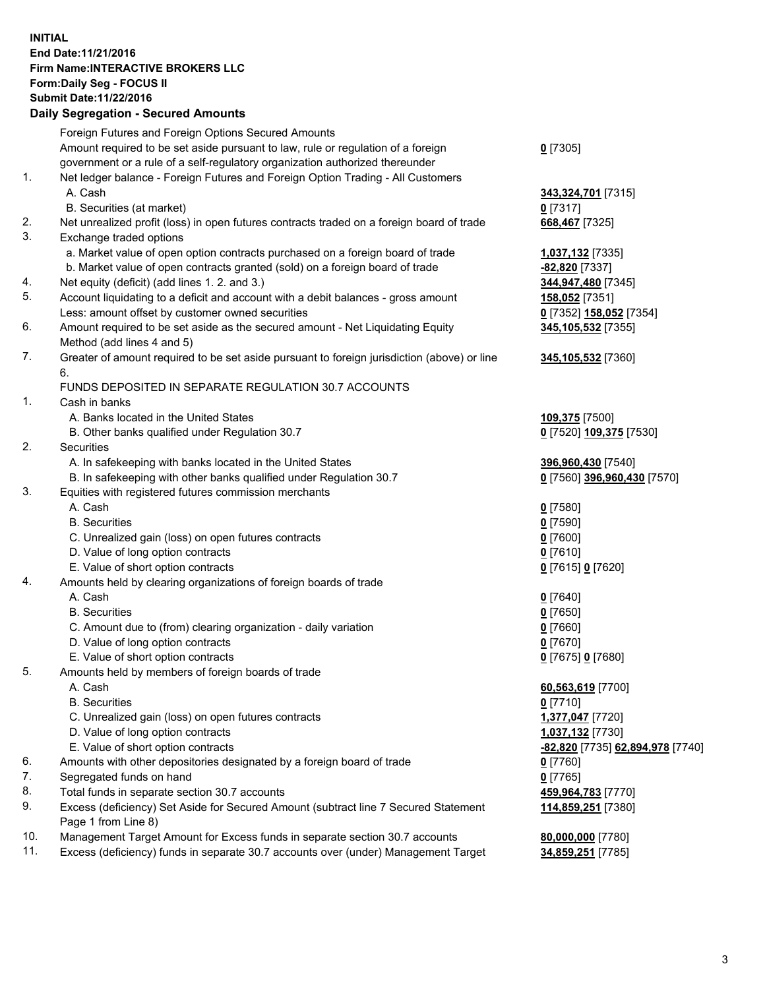## **INITIAL End Date:11/21/2016 Firm Name:INTERACTIVE BROKERS LLC Form:Daily Seg - FOCUS II Submit Date:11/22/2016 Daily Segregation - Secured Amounts**

|     | Daily Jegregation - Jeculed Aniounts                                                                       |                                  |
|-----|------------------------------------------------------------------------------------------------------------|----------------------------------|
|     | Foreign Futures and Foreign Options Secured Amounts                                                        |                                  |
|     | Amount required to be set aside pursuant to law, rule or regulation of a foreign                           | $0$ [7305]                       |
|     | government or a rule of a self-regulatory organization authorized thereunder                               |                                  |
| 1.  | Net ledger balance - Foreign Futures and Foreign Option Trading - All Customers                            |                                  |
|     | A. Cash                                                                                                    | 343,324,701 [7315]               |
|     | B. Securities (at market)                                                                                  | $0$ [7317]                       |
| 2.  | Net unrealized profit (loss) in open futures contracts traded on a foreign board of trade                  | 668,467 [7325]                   |
| 3.  | Exchange traded options                                                                                    |                                  |
|     | a. Market value of open option contracts purchased on a foreign board of trade                             | 1,037,132 [7335]                 |
|     | b. Market value of open contracts granted (sold) on a foreign board of trade                               | -82,820 [7337]                   |
| 4.  | Net equity (deficit) (add lines 1.2. and 3.)                                                               | 344,947,480 [7345]               |
| 5.  | Account liquidating to a deficit and account with a debit balances - gross amount                          | 158,052 [7351]                   |
|     | Less: amount offset by customer owned securities                                                           | 0 [7352] 158,052 [7354]          |
| 6.  | Amount required to be set aside as the secured amount - Net Liquidating Equity                             | 345,105,532 [7355]               |
|     | Method (add lines 4 and 5)                                                                                 |                                  |
| 7.  | Greater of amount required to be set aside pursuant to foreign jurisdiction (above) or line                | 345,105,532 [7360]               |
|     | 6.                                                                                                         |                                  |
|     | FUNDS DEPOSITED IN SEPARATE REGULATION 30.7 ACCOUNTS                                                       |                                  |
| 1.  | Cash in banks                                                                                              |                                  |
|     | A. Banks located in the United States                                                                      | 109,375 [7500]                   |
|     | B. Other banks qualified under Regulation 30.7                                                             | 0 [7520] 109,375 [7530]          |
| 2.  | Securities                                                                                                 |                                  |
|     | A. In safekeeping with banks located in the United States                                                  | 396,960,430 [7540]               |
|     | B. In safekeeping with other banks qualified under Regulation 30.7                                         | 0 [7560] 396,960,430 [7570]      |
| 3.  | Equities with registered futures commission merchants                                                      |                                  |
|     | A. Cash                                                                                                    | $0$ [7580]                       |
|     | <b>B.</b> Securities                                                                                       | $0$ [7590]                       |
|     | C. Unrealized gain (loss) on open futures contracts                                                        | $0$ [7600]                       |
|     | D. Value of long option contracts                                                                          | $0$ [7610]                       |
|     | E. Value of short option contracts                                                                         | 0 [7615] 0 [7620]                |
| 4.  | Amounts held by clearing organizations of foreign boards of trade                                          |                                  |
|     | A. Cash                                                                                                    | $0$ [7640]                       |
|     | <b>B.</b> Securities                                                                                       | $0$ [7650]                       |
|     | C. Amount due to (from) clearing organization - daily variation                                            | $0$ [7660]                       |
|     | D. Value of long option contracts                                                                          | $0$ [7670]                       |
|     | E. Value of short option contracts                                                                         | 0 [7675] 0 [7680]                |
| 5.  | Amounts held by members of foreign boards of trade                                                         |                                  |
|     | A. Cash                                                                                                    | 60,563,619 [7700]                |
|     | <b>B.</b> Securities                                                                                       | $0$ [7710]                       |
|     | C. Unrealized gain (loss) on open futures contracts                                                        | 1,377,047 [7720]                 |
|     | D. Value of long option contracts                                                                          | 1,037,132 [7730]                 |
|     | E. Value of short option contracts                                                                         | -82,820 [7735] 62,894,978 [7740] |
| 6.  | Amounts with other depositories designated by a foreign board of trade                                     | 0 [7760]                         |
| 7.  | Segregated funds on hand                                                                                   | $0$ [7765]                       |
| 8.  | Total funds in separate section 30.7 accounts                                                              | 459,964,783 [7770]               |
| 9.  | Excess (deficiency) Set Aside for Secured Amount (subtract line 7 Secured Statement<br>Page 1 from Line 8) | 114,859,251 [7380]               |
| 10. | Management Target Amount for Excess funds in separate section 30.7 accounts                                | 80,000,000 [7780]                |
| 11. | Excess (deficiency) funds in separate 30.7 accounts over (under) Management Target                         | 34,859,251 [7785]                |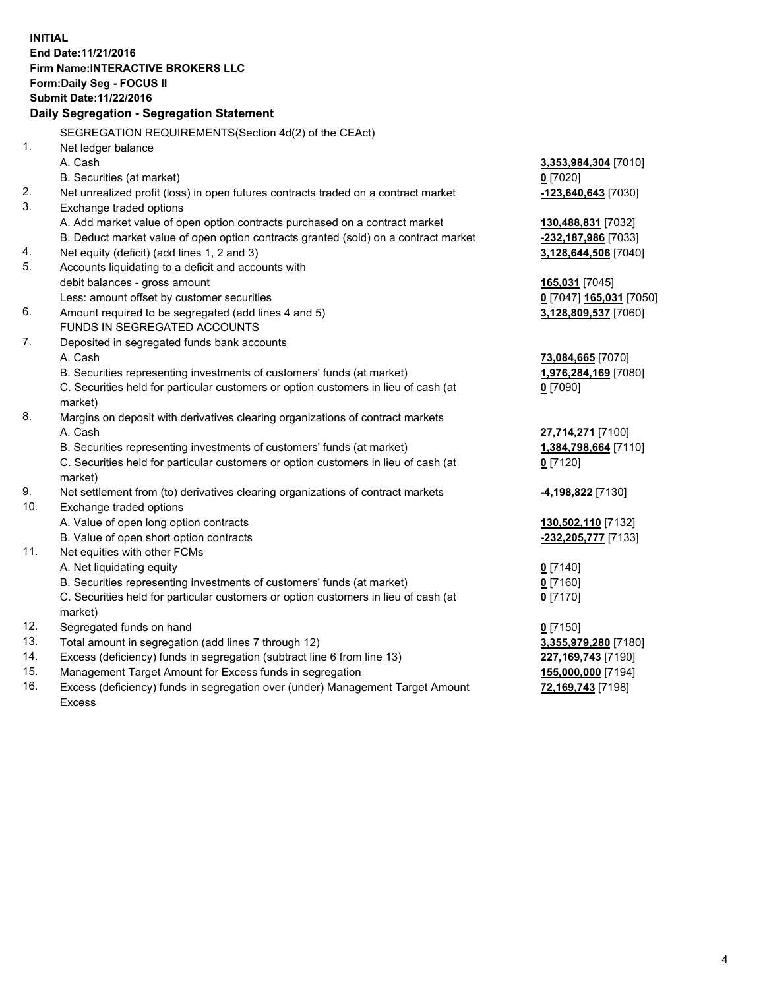**INITIAL End Date:11/21/2016 Firm Name:INTERACTIVE BROKERS LLC Form:Daily Seg - FOCUS II Submit Date:11/22/2016 Daily Segregation - Segregation Statement** SEGREGATION REQUIREMENTS(Section 4d(2) of the CEAct) 1. Net ledger balance A. Cash **3,353,984,304** [7010] B. Securities (at market) **0** [7020] 2. Net unrealized profit (loss) in open futures contracts traded on a contract market **-123,640,643** [7030] 3. Exchange traded options A. Add market value of open option contracts purchased on a contract market **130,488,831** [7032] B. Deduct market value of open option contracts granted (sold) on a contract market **-232,187,986** [7033] 4. Net equity (deficit) (add lines 1, 2 and 3) **3,128,644,506** [7040] 5. Accounts liquidating to a deficit and accounts with debit balances - gross amount **165,031** [7045] Less: amount offset by customer securities **0** [7047] **165,031** [7050] 6. Amount required to be segregated (add lines 4 and 5) **3,128,809,537** [7060] FUNDS IN SEGREGATED ACCOUNTS 7. Deposited in segregated funds bank accounts A. Cash **73,084,665** [7070] B. Securities representing investments of customers' funds (at market) **1,976,284,169** [7080] C. Securities held for particular customers or option customers in lieu of cash (at market) **0** [7090] 8. Margins on deposit with derivatives clearing organizations of contract markets A. Cash **27,714,271** [7100] B. Securities representing investments of customers' funds (at market) **1,384,798,664** [7110] C. Securities held for particular customers or option customers in lieu of cash (at market) **0** [7120] 9. Net settlement from (to) derivatives clearing organizations of contract markets **-4,198,822** [7130] 10. Exchange traded options A. Value of open long option contracts **130,502,110** [7132] B. Value of open short option contracts **-232,205,777** [7133] 11. Net equities with other FCMs A. Net liquidating equity **0** [7140] B. Securities representing investments of customers' funds (at market) **0** [7160] C. Securities held for particular customers or option customers in lieu of cash (at market) **0** [7170] 12. Segregated funds on hand **0** [7150] 13. Total amount in segregation (add lines 7 through 12) **3,355,979,280** [7180] 14. Excess (deficiency) funds in segregation (subtract line 6 from line 13) **227,169,743** [7190] 15. Management Target Amount for Excess funds in segregation **155,000,000** [7194]

16. Excess (deficiency) funds in segregation over (under) Management Target Amount Excess

**72,169,743** [7198]